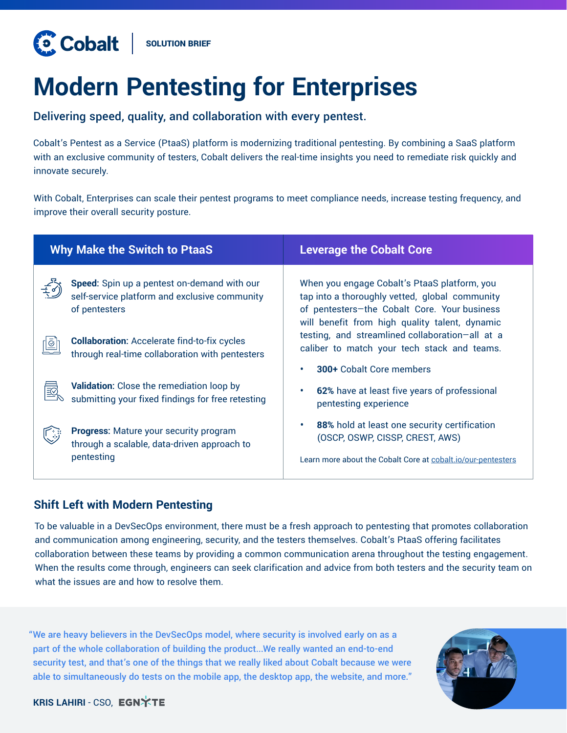# **Modern Pentesting for Enterprises**

Delivering speed, quality, and collaboration with every pentest.

Cobalt's Pentest as a Service (PtaaS) platform is modernizing traditional pentesting. By combining a SaaS platform with an exclusive community of testers, Cobalt delivers the real-time insights you need to remediate risk quickly and innovate securely.

With Cobalt, Enterprises can scale their pentest programs to meet compliance needs, increase testing frequency, and improve their overall security posture.

| <b>Leverage the Cobalt Core</b>                                                                                                                                                                  |  |
|--------------------------------------------------------------------------------------------------------------------------------------------------------------------------------------------------|--|
| When you engage Cobalt's PtaaS platform, you<br>tap into a thoroughly vetted, global community<br>of pentesters-the Cobalt Core. Your business<br>will benefit from high quality talent, dynamic |  |
| testing, and streamlined collaboration-all at a<br>caliber to match your tech stack and teams.                                                                                                   |  |
| <b>300+ Cobalt Core members</b><br>62% have at least five years of professional<br>pentesting experience                                                                                         |  |
| 88% hold at least one security certification<br>(OSCP, OSWP, CISSP, CREST, AWS)<br>Learn more about the Cobalt Core at cobalt.io/our-pentesters                                                  |  |
|                                                                                                                                                                                                  |  |

# **Shift Left with Modern Pentesting**

To be valuable in a DevSecOps environment, there must be a fresh approach to pentesting that promotes collaboration and communication among engineering, security, and the testers themselves. Cobalt's PtaaS offering facilitates collaboration between these teams by providing a common communication arena throughout the testing engagement. When the results come through, engineers can seek clarification and advice from both testers and the security team on what the issues are and how to resolve them.

"We are heavy believers in the DevSecOps model, where security is involved early on as a part of the whole collaboration of building the product...We really wanted an end-to-end security test, and that's one of the things that we really liked about Cobalt because we were able to simultaneously do tests on the mobile app, the desktop app, the website, and more."



### **KRIS LAHIRI - CSO, EGNXTE**